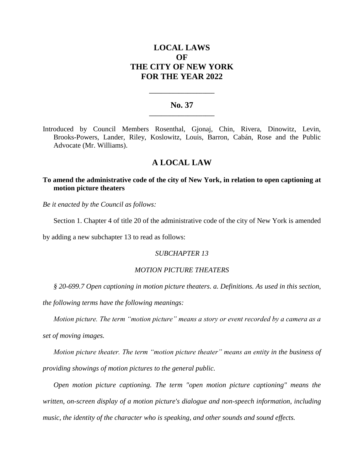# **LOCAL LAWS OF THE CITY OF NEW YORK FOR THE YEAR 2022**

## **No. 37 \_\_\_\_\_\_\_\_\_\_\_\_\_\_\_\_\_\_\_\_\_\_**

**\_\_\_\_\_\_\_\_\_\_\_\_\_\_\_\_\_\_\_\_\_\_**

Introduced by Council Members Rosenthal, Gjonaj, Chin, Rivera, Dinowitz, Levin, Brooks-Powers, Lander, Riley, Koslowitz, Louis, Barron, Cabán, Rose and the Public Advocate (Mr. Williams).

## **A LOCAL LAW**

## **To amend the administrative code of the city of New York, in relation to open captioning at motion picture theaters**

*Be it enacted by the Council as follows:*

Section 1. Chapter 4 of title 20 of the administrative code of the city of New York is amended

by adding a new subchapter 13 to read as follows:

#### *SUBCHAPTER 13*

#### *MOTION PICTURE THEATERS*

*§ 20-699.7 Open captioning in motion picture theaters. a. Definitions. As used in this section,* 

*the following terms have the following meanings:*

*Motion picture. The term "motion picture" means a story or event recorded by a camera as a set of moving images.*

*Motion picture theater. The term "motion picture theater" means an entity in the business of providing showings of motion pictures to the general public.*

*Open motion picture captioning. The term "open motion picture captioning" means the written, on-screen display of a motion picture's dialogue and non-speech information, including music, the identity of the character who is speaking, and other sounds and sound effects.*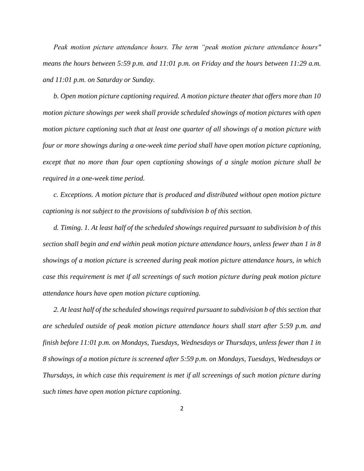*Peak motion picture attendance hours. The term "peak motion picture attendance hours" means the hours between 5:59 p.m. and 11:01 p.m. on Friday and the hours between 11:29 a.m. and 11:01 p.m. on Saturday or Sunday.*

*b. Open motion picture captioning required. A motion picture theater that offers more than 10 motion picture showings per week shall provide scheduled showings of motion pictures with open motion picture captioning such that at least one quarter of all showings of a motion picture with four or more showings during a one-week time period shall have open motion picture captioning, except that no more than four open captioning showings of a single motion picture shall be required in a one-week time period.*

*c. Exceptions. A motion picture that is produced and distributed without open motion picture captioning is not subject to the provisions of subdivision b of this section.*

*d. Timing. 1. At least half of the scheduled showings required pursuant to subdivision b of this section shall begin and end within peak motion picture attendance hours, unless fewer than 1 in 8 showings of a motion picture is screened during peak motion picture attendance hours, in which case this requirement is met if all screenings of such motion picture during peak motion picture attendance hours have open motion picture captioning.* 

*2. At least half of the scheduled showings required pursuant to subdivision b of this section that are scheduled outside of peak motion picture attendance hours shall start after 5:59 p.m. and finish before 11:01 p.m. on Mondays, Tuesdays, Wednesdays or Thursdays, unless fewer than 1 in 8 showings of a motion picture is screened after 5:59 p.m. on Mondays, Tuesdays, Wednesdays or Thursdays, in which case this requirement is met if all screenings of such motion picture during such times have open motion picture captioning.*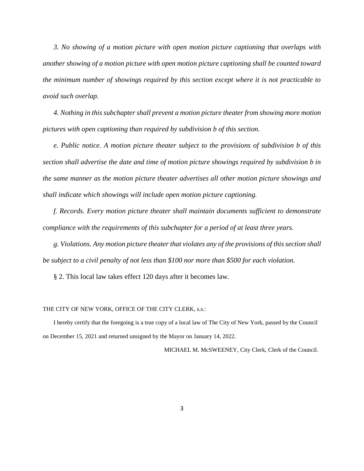*3. No showing of a motion picture with open motion picture captioning that overlaps with another showing of a motion picture with open motion picture captioning shall be counted toward the minimum number of showings required by this section except where it is not practicable to avoid such overlap.*

*4. Nothing in this subchapter shall prevent a motion picture theater from showing more motion pictures with open captioning than required by subdivision b of this section.* 

*e. Public notice. A motion picture theater subject to the provisions of subdivision b of this section shall advertise the date and time of motion picture showings required by subdivision b in the same manner as the motion picture theater advertises all other motion picture showings and shall indicate which showings will include open motion picture captioning.*

*f. Records. Every motion picture theater shall maintain documents sufficient to demonstrate compliance with the requirements of this subchapter for a period of at least three years.*

*g. Violations. Any motion picture theater that violates any of the provisions of this section shall be subject to a civil penalty of not less than \$100 nor more than \$500 for each violation.*

§ 2. This local law takes effect 120 days after it becomes law.

#### THE CITY OF NEW YORK, OFFICE OF THE CITY CLERK, s.s.:

I hereby certify that the foregoing is a true copy of a local law of The City of New York, passed by the Council on December 15, 2021 and returned unsigned by the Mayor on January 14, 2022.

MICHAEL M. McSWEENEY, City Clerk, Clerk of the Council.